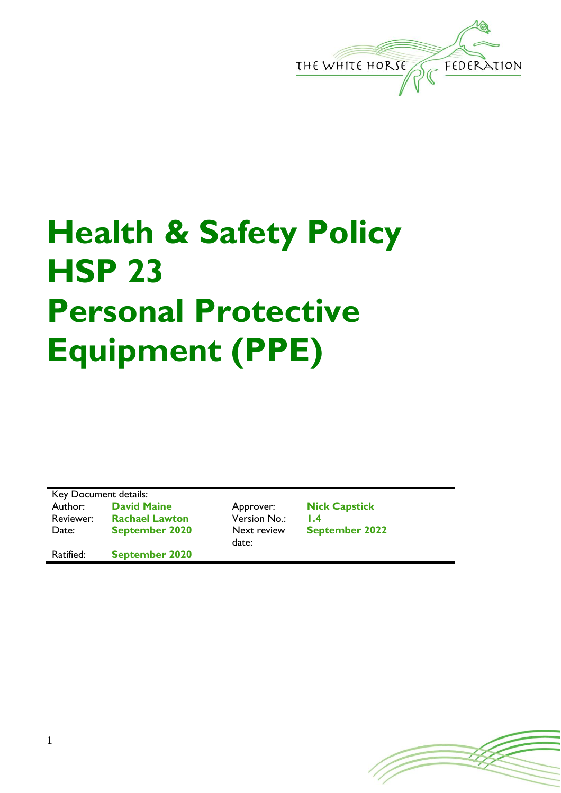

## **Health & Safety Policy HSP 23 Personal Protective Equipment (PPE)**

Key Document details:<br>Author: David M Reviewer: **Rachael Lawton** Version No.: **1.4** Date: **September 2020** Next review

Ratified: **September 2020**

date:

**David Maine Approver: Nick Capstick September 2022**

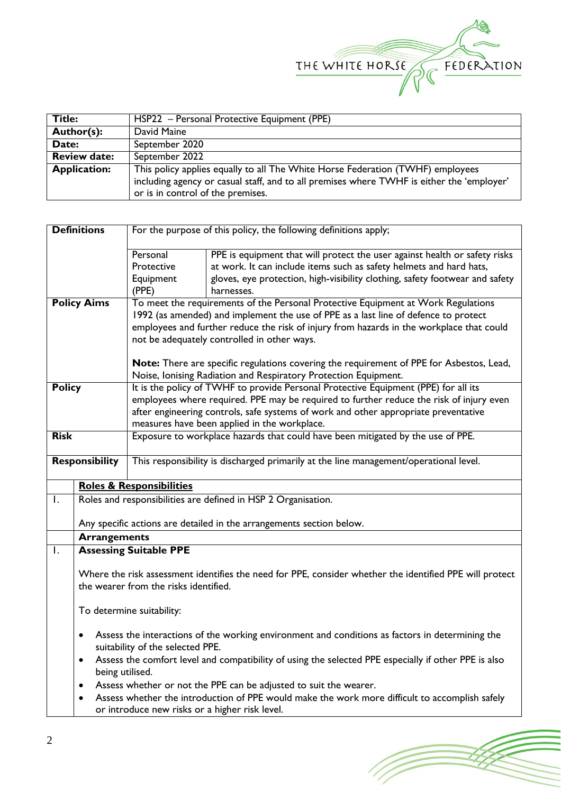

| <b>Title:</b>       | HSP22 - Personal Protective Equipment (PPE)                                               |  |  |
|---------------------|-------------------------------------------------------------------------------------------|--|--|
| Author(s):          | David Maine                                                                               |  |  |
| Date:               | September 2020                                                                            |  |  |
| <b>Review date:</b> | September 2022                                                                            |  |  |
| <b>Application:</b> | This policy applies equally to all The White Horse Federation (TWHF) employees            |  |  |
|                     | including agency or casual staff, and to all premises where TWHF is either the 'employer' |  |  |
|                     | or is in control of the premises.                                                         |  |  |

| <b>Definitions</b>                                                                                                                                            |                                                                                                                                                  | For the purpose of this policy, the following definitions apply;                                                                                                               |                                                                                          |  |  |  |
|---------------------------------------------------------------------------------------------------------------------------------------------------------------|--------------------------------------------------------------------------------------------------------------------------------------------------|--------------------------------------------------------------------------------------------------------------------------------------------------------------------------------|------------------------------------------------------------------------------------------|--|--|--|
|                                                                                                                                                               |                                                                                                                                                  | Personal                                                                                                                                                                       | PPE is equipment that will protect the user against health or safety risks               |  |  |  |
|                                                                                                                                                               |                                                                                                                                                  | Protective                                                                                                                                                                     | at work. It can include items such as safety helmets and hard hats,                      |  |  |  |
|                                                                                                                                                               |                                                                                                                                                  | Equipment                                                                                                                                                                      | gloves, eye protection, high-visibility clothing, safety footwear and safety             |  |  |  |
|                                                                                                                                                               |                                                                                                                                                  | (PPE)                                                                                                                                                                          | harnesses.                                                                               |  |  |  |
|                                                                                                                                                               | <b>Policy Aims</b>                                                                                                                               | To meet the requirements of the Personal Protective Equipment at Work Regulations                                                                                              |                                                                                          |  |  |  |
|                                                                                                                                                               |                                                                                                                                                  | 1992 (as amended) and implement the use of PPE as a last line of defence to protect                                                                                            |                                                                                          |  |  |  |
|                                                                                                                                                               |                                                                                                                                                  | employees and further reduce the risk of injury from hazards in the workplace that could                                                                                       |                                                                                          |  |  |  |
|                                                                                                                                                               |                                                                                                                                                  | not be adequately controlled in other ways.                                                                                                                                    |                                                                                          |  |  |  |
|                                                                                                                                                               |                                                                                                                                                  |                                                                                                                                                                                | Note: There are specific regulations covering the requirement of PPE for Asbestos, Lead, |  |  |  |
|                                                                                                                                                               |                                                                                                                                                  | Noise, Ionising Radiation and Respiratory Protection Equipment.                                                                                                                |                                                                                          |  |  |  |
| <b>Policy</b>                                                                                                                                                 |                                                                                                                                                  | It is the policy of TWHF to provide Personal Protective Equipment (PPE) for all its<br>employees where required. PPE may be required to further reduce the risk of injury even |                                                                                          |  |  |  |
|                                                                                                                                                               |                                                                                                                                                  |                                                                                                                                                                                |                                                                                          |  |  |  |
|                                                                                                                                                               |                                                                                                                                                  | after engineering controls, safe systems of work and other appropriate preventative<br>measures have been applied in the workplace.                                            |                                                                                          |  |  |  |
| <b>Risk</b>                                                                                                                                                   |                                                                                                                                                  |                                                                                                                                                                                | Exposure to workplace hazards that could have been mitigated by the use of PPE.          |  |  |  |
|                                                                                                                                                               |                                                                                                                                                  |                                                                                                                                                                                |                                                                                          |  |  |  |
| <b>Responsibility</b>                                                                                                                                         |                                                                                                                                                  |                                                                                                                                                                                | This responsibility is discharged primarily at the line management/operational level.    |  |  |  |
|                                                                                                                                                               |                                                                                                                                                  | <b>Roles &amp; Responsibilities</b>                                                                                                                                            |                                                                                          |  |  |  |
| Ι.                                                                                                                                                            |                                                                                                                                                  |                                                                                                                                                                                | Roles and responsibilities are defined in HSP 2 Organisation.                            |  |  |  |
|                                                                                                                                                               |                                                                                                                                                  |                                                                                                                                                                                | Any specific actions are detailed in the arrangements section below.                     |  |  |  |
|                                                                                                                                                               | <b>Arrangements</b>                                                                                                                              |                                                                                                                                                                                |                                                                                          |  |  |  |
| Ι.                                                                                                                                                            | <b>Assessing Suitable PPE</b>                                                                                                                    |                                                                                                                                                                                |                                                                                          |  |  |  |
|                                                                                                                                                               | Where the risk assessment identifies the need for PPE, consider whether the identified PPE will protect<br>the wearer from the risks identified. |                                                                                                                                                                                |                                                                                          |  |  |  |
|                                                                                                                                                               | To determine suitability:                                                                                                                        |                                                                                                                                                                                |                                                                                          |  |  |  |
|                                                                                                                                                               | Assess the interactions of the working environment and conditions as factors in determining the<br>٠<br>suitability of the selected PPE.         |                                                                                                                                                                                |                                                                                          |  |  |  |
|                                                                                                                                                               | $\bullet$                                                                                                                                        | Assess the comfort level and compatibility of using the selected PPE especially if other PPE is also<br>being utilised.                                                        |                                                                                          |  |  |  |
|                                                                                                                                                               | ٠                                                                                                                                                |                                                                                                                                                                                | Assess whether or not the PPE can be adjusted to suit the wearer.                        |  |  |  |
| Assess whether the introduction of PPE would make the work more difficult to accomplish safely<br>$\bullet$<br>or introduce new risks or a higher risk level. |                                                                                                                                                  |                                                                                                                                                                                |                                                                                          |  |  |  |
|                                                                                                                                                               |                                                                                                                                                  |                                                                                                                                                                                |                                                                                          |  |  |  |

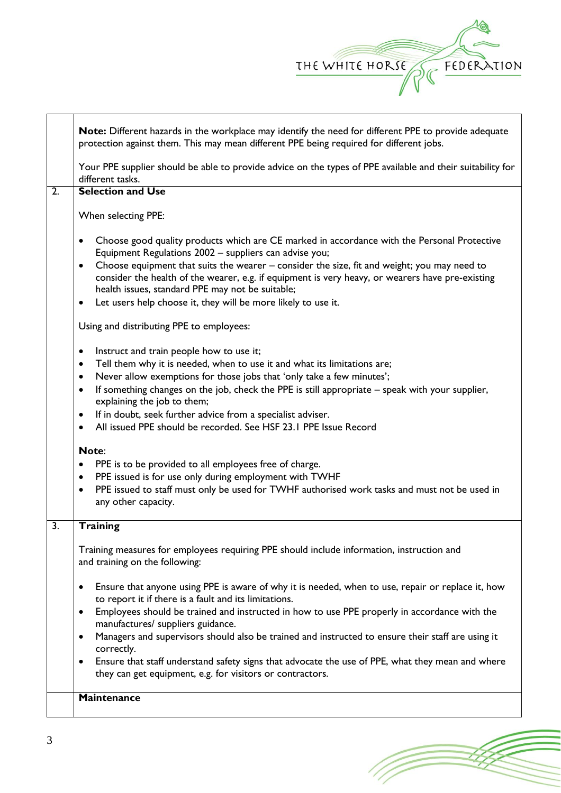

|    | Note: Different hazards in the workplace may identify the need for different PPE to provide adequate<br>protection against them. This may mean different PPE being required for different jobs.                                                                                                                                                                                                                                                                                                                                          |
|----|------------------------------------------------------------------------------------------------------------------------------------------------------------------------------------------------------------------------------------------------------------------------------------------------------------------------------------------------------------------------------------------------------------------------------------------------------------------------------------------------------------------------------------------|
|    | Your PPE supplier should be able to provide advice on the types of PPE available and their suitability for<br>different tasks.                                                                                                                                                                                                                                                                                                                                                                                                           |
| 2. | <b>Selection and Use</b>                                                                                                                                                                                                                                                                                                                                                                                                                                                                                                                 |
|    | When selecting PPE:                                                                                                                                                                                                                                                                                                                                                                                                                                                                                                                      |
|    | Choose good quality products which are CE marked in accordance with the Personal Protective<br>$\bullet$<br>Equipment Regulations 2002 - suppliers can advise you;<br>Choose equipment that suits the wearer – consider the size, fit and weight; you may need to<br>$\bullet$<br>consider the health of the wearer, e.g. if equipment is very heavy, or wearers have pre-existing<br>health issues, standard PPE may not be suitable;<br>Let users help choose it, they will be more likely to use it.<br>$\bullet$                     |
|    | Using and distributing PPE to employees:                                                                                                                                                                                                                                                                                                                                                                                                                                                                                                 |
|    | Instruct and train people how to use it;<br>$\bullet$<br>Tell them why it is needed, when to use it and what its limitations are;<br>$\bullet$<br>Never allow exemptions for those jobs that 'only take a few minutes';<br>$\bullet$<br>If something changes on the job, check the PPE is still appropriate - speak with your supplier,<br>$\bullet$<br>explaining the job to them;<br>If in doubt, seek further advice from a specialist adviser.<br>٠<br>All issued PPE should be recorded. See HSF 23.1 PPE Issue Record<br>$\bullet$ |
|    | Note:<br>PPE is to be provided to all employees free of charge.<br>$\bullet$<br>PPE issued is for use only during employment with TWHF<br>$\bullet$<br>PPE issued to staff must only be used for TWHF authorised work tasks and must not be used in<br>$\bullet$<br>any other capacity.                                                                                                                                                                                                                                                  |
| 3. | <b>Training</b>                                                                                                                                                                                                                                                                                                                                                                                                                                                                                                                          |
|    | Training measures for employees requiring PPE should include information, instruction and<br>and training on the following:                                                                                                                                                                                                                                                                                                                                                                                                              |
|    | Ensure that anyone using PPE is aware of why it is needed, when to use, repair or replace it, how<br>$\bullet$<br>to report it if there is a fault and its limitations.<br>Employees should be trained and instructed in how to use PPE properly in accordance with the<br>$\bullet$                                                                                                                                                                                                                                                     |
|    | manufactures/ suppliers guidance.<br>Managers and supervisors should also be trained and instructed to ensure their staff are using it<br>$\bullet$<br>correctly.                                                                                                                                                                                                                                                                                                                                                                        |
|    | Ensure that staff understand safety signs that advocate the use of PPE, what they mean and where<br>٠<br>they can get equipment, e.g. for visitors or contractors.                                                                                                                                                                                                                                                                                                                                                                       |
|    | <b>Maintenance</b>                                                                                                                                                                                                                                                                                                                                                                                                                                                                                                                       |
|    |                                                                                                                                                                                                                                                                                                                                                                                                                                                                                                                                          |